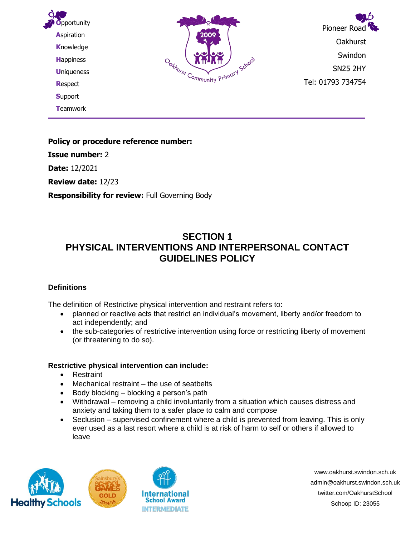

**Policy or procedure reference number: Issue number:** 2 **Date:** 12/2021 **Review date:** 12/23

**Responsibility for review:** Full Governing Body

# **SECTION 1 PHYSICAL INTERVENTIONS AND INTERPERSONAL CONTACT GUIDELINES POLICY**

### **Definitions**

The definition of Restrictive physical intervention and restraint refers to:

- planned or reactive acts that restrict an individual's movement, liberty and/or freedom to act independently; and
- the sub-categories of restrictive intervention using force or restricting liberty of movement (or threatening to do so).

#### **Restrictive physical intervention can include:**

- Restraint
- Mechanical restraint the use of seatbelts
- Body blocking blocking a person's path
- Withdrawal removing a child involuntarily from a situation which causes distress and anxiety and taking them to a safer place to calm and compose
- Seclusion supervised confinement where a child is prevented from leaving. This is only ever used as a last resort where a child is at risk of harm to self or others if allowed to leave





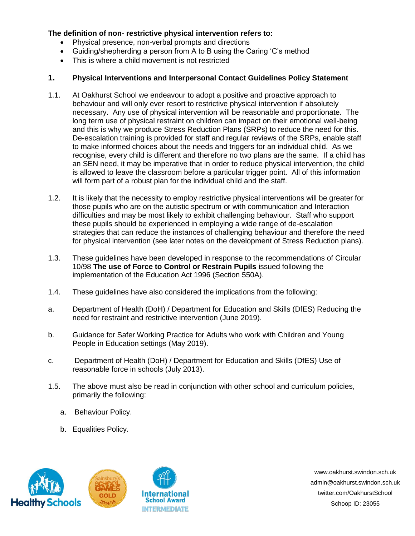#### **The definition of non- restrictive physical intervention refers to:**

- Physical presence, non-verbal prompts and directions
- Guiding/shepherding a person from A to B using the Caring 'C's method
- This is where a child movement is not restricted

#### **1. Physical Interventions and Interpersonal Contact Guidelines Policy Statement**

- 1.1. At Oakhurst School we endeavour to adopt a positive and proactive approach to behaviour and will only ever resort to restrictive physical intervention if absolutely necessary. Any use of physical intervention will be reasonable and proportionate. The long term use of physical restraint on children can impact on their emotional well-being and this is why we produce Stress Reduction Plans (SRPs) to reduce the need for this. De-escalation training is provided for staff and regular reviews of the SRPs, enable staff to make informed choices about the needs and triggers for an individual child. As we recognise, every child is different and therefore no two plans are the same. If a child has an SEN need, it may be imperative that in order to reduce physical intervention, the child is allowed to leave the classroom before a particular trigger point. All of this information will form part of a robust plan for the individual child and the staff.
- 1.2. It is likely that the necessity to employ restrictive physical interventions will be greater for those pupils who are on the autistic spectrum or with communication and Interaction difficulties and may be most likely to exhibit challenging behaviour. Staff who support these pupils should be experienced in employing a wide range of de-escalation strategies that can reduce the instances of challenging behaviour and therefore the need for physical intervention (see later notes on the development of Stress Reduction plans).
- 1.3. These guidelines have been developed in response to the recommendations of Circular 10/98 **The use of Force to Control or Restrain Pupils** issued following the implementation of the Education Act 1996 (Section 550A).
- 1.4. These guidelines have also considered the implications from the following:
- a. Department of Health (DoH) / Department for Education and Skills (DfES) Reducing the need for restraint and restrictive intervention (June 2019).
- b. Guidance for Safer Working Practice for Adults who work with Children and Young People in Education settings (May 2019).
- c. Department of Health (DoH) / Department for Education and Skills (DfES) Use of reasonable force in schools (July 2013).
- 1.5. The above must also be read in conjunction with other school and curriculum policies, primarily the following:
	- a. Behaviour Policy.
	- b. Equalities Policy.





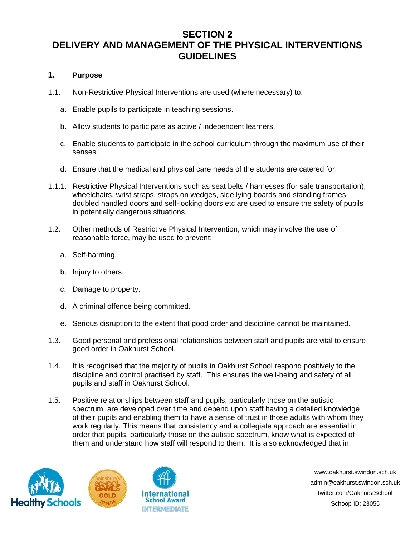# **SECTION 2 DELIVERY AND MANAGEMENT OF THE PHYSICAL INTERVENTIONS GUIDELINES**

## **1. Purpose**

- 1.1. Non-Restrictive Physical Interventions are used (where necessary) to:
	- a. Enable pupils to participate in teaching sessions.
	- b. Allow students to participate as active / independent learners.
	- c. Enable students to participate in the school curriculum through the maximum use of their senses.
	- d. Ensure that the medical and physical care needs of the students are catered for.
- 1.1.1. Restrictive Physical Interventions such as seat belts / harnesses (for safe transportation), wheelchairs, wrist straps, straps on wedges, side lying boards and standing frames, doubled handled doors and self-locking doors etc are used to ensure the safety of pupils in potentially dangerous situations.
- 1.2. Other methods of Restrictive Physical Intervention, which may involve the use of reasonable force, may be used to prevent:
	- a. Self-harming.
	- b. Injury to others.
	- c. Damage to property.
	- d. A criminal offence being committed.
	- e. Serious disruption to the extent that good order and discipline cannot be maintained.
- 1.3. Good personal and professional relationships between staff and pupils are vital to ensure good order in Oakhurst School.
- 1.4. It is recognised that the majority of pupils in Oakhurst School respond positively to the discipline and control practised by staff. This ensures the well-being and safety of all pupils and staff in Oakhurst School.
- 1.5. Positive relationships between staff and pupils, particularly those on the autistic spectrum, are developed over time and depend upon staff having a detailed knowledge of their pupils and enabling them to have a sense of trust in those adults with whom they work regularly. This means that consistency and a collegiate approach are essential in order that pupils, particularly those on the autistic spectrum, know what is expected of them and understand how staff will respond to them. It is also acknowledged that in



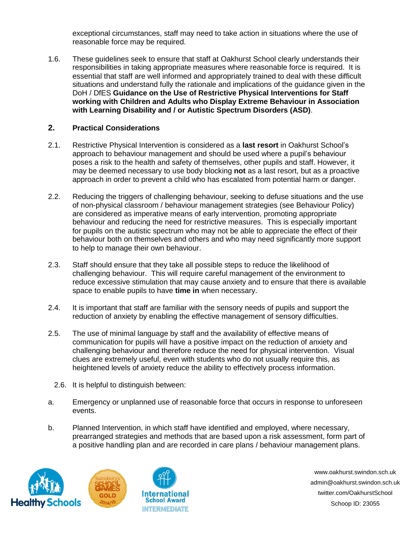exceptional circumstances, staff may need to take action in situations where the use of reasonable force may be required.

1.6. These guidelines seek to ensure that staff at Oakhurst School clearly understands their responsibilities in taking appropriate measures where reasonable force is required. It is essential that staff are well informed and appropriately trained to deal with these difficult situations and understand fully the rationale and implications of the guidance given in the DoH / DfES **Guidance on the Use of Restrictive Physical Interventions for Staff working with Children and Adults who Display Extreme Behaviour in Association with Learning Disability and / or Autistic Spectrum Disorders (ASD)**.

#### **2. Practical Considerations**

- 2.1. Restrictive Physical Intervention is considered as a **last resort** in Oakhurst School's approach to behaviour management and should be used where a pupil's behaviour poses a risk to the health and safety of themselves, other pupils and staff. However, it may be deemed necessary to use body blocking **not** as a last resort, but as a proactive approach in order to prevent a child who has escalated from potential harm or danger.
- 2.2. Reducing the triggers of challenging behaviour, seeking to defuse situations and the use of non-physical classroom / behaviour management strategies (see Behaviour Policy) are considered as imperative means of early intervention, promoting appropriate behaviour and reducing the need for restrictive measures. This is especially important for pupils on the autistic spectrum who may not be able to appreciate the effect of their behaviour both on themselves and others and who may need significantly more support to help to manage their own behaviour.
- 2.3. Staff should ensure that they take all possible steps to reduce the likelihood of challenging behaviour. This will require careful management of the environment to reduce excessive stimulation that may cause anxiety and to ensure that there is available space to enable pupils to have **time in** when necessary.
- 2.4. It is important that staff are familiar with the sensory needs of pupils and support the reduction of anxiety by enabling the effective management of sensory difficulties.
- 2.5. The use of minimal language by staff and the availability of effective means of communication for pupils will have a positive impact on the reduction of anxiety and challenging behaviour and therefore reduce the need for physical intervention. Visual clues are extremely useful, even with students who do not usually require this, as heightened levels of anxiety reduce the ability to effectively process information.
	- 2.6. It is helpful to distinguish between:
- a. Emergency or unplanned use of reasonable force that occurs in response to unforeseen events.
- b. Planned Intervention, in which staff have identified and employed, where necessary, prearranged strategies and methods that are based upon a risk assessment, form part of a positive handling plan and are recorded in care plans / behaviour management plans.





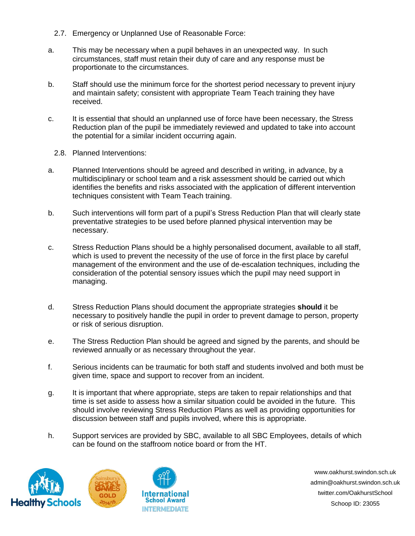- 2.7. Emergency or Unplanned Use of Reasonable Force:
- a. This may be necessary when a pupil behaves in an unexpected way. In such circumstances, staff must retain their duty of care and any response must be proportionate to the circumstances.
- b. Staff should use the minimum force for the shortest period necessary to prevent injury and maintain safety; consistent with appropriate Team Teach training they have received.
- c. It is essential that should an unplanned use of force have been necessary, the Stress Reduction plan of the pupil be immediately reviewed and updated to take into account the potential for a similar incident occurring again.
	- 2.8. Planned Interventions:
- a. Planned Interventions should be agreed and described in writing, in advance, by a multidisciplinary or school team and a risk assessment should be carried out which identifies the benefits and risks associated with the application of different intervention techniques consistent with Team Teach training.
- b. Such interventions will form part of a pupil's Stress Reduction Plan that will clearly state preventative strategies to be used before planned physical intervention may be necessary.
- c. Stress Reduction Plans should be a highly personalised document, available to all staff, which is used to prevent the necessity of the use of force in the first place by careful management of the environment and the use of de-escalation techniques, including the consideration of the potential sensory issues which the pupil may need support in managing.
- d. Stress Reduction Plans should document the appropriate strategies **should** it be necessary to positively handle the pupil in order to prevent damage to person, property or risk of serious disruption.
- e. The Stress Reduction Plan should be agreed and signed by the parents, and should be reviewed annually or as necessary throughout the year.
- f. Serious incidents can be traumatic for both staff and students involved and both must be given time, space and support to recover from an incident.
- g. It is important that where appropriate, steps are taken to repair relationships and that time is set aside to assess how a similar situation could be avoided in the future. This should involve reviewing Stress Reduction Plans as well as providing opportunities for discussion between staff and pupils involved, where this is appropriate.
- h. Support services are provided by SBC, available to all SBC Employees, details of which can be found on the staffroom notice board or from the HT.





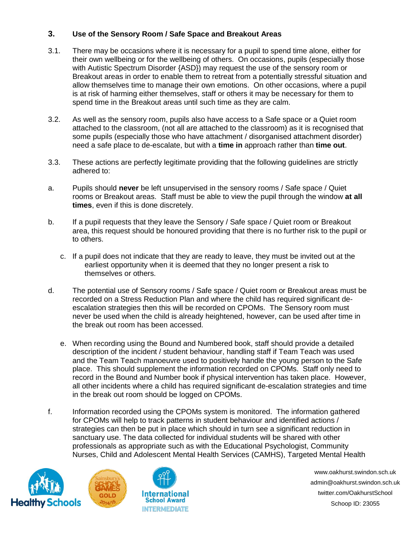### **3. Use of the Sensory Room / Safe Space and Breakout Areas**

- 3.1. There may be occasions where it is necessary for a pupil to spend time alone, either for their own wellbeing or for the wellbeing of others. On occasions, pupils (especially those with Autistic Spectrum Disorder {ASD}) may request the use of the sensory room or Breakout areas in order to enable them to retreat from a potentially stressful situation and allow themselves time to manage their own emotions. On other occasions, where a pupil is at risk of harming either themselves, staff or others it may be necessary for them to spend time in the Breakout areas until such time as they are calm.
- 3.2. As well as the sensory room, pupils also have access to a Safe space or a Quiet room attached to the classroom, (not all are attached to the classroom) as it is recognised that some pupils (especially those who have attachment / disorganised attachment disorder) need a safe place to de-escalate, but with a **time in** approach rather than **time out**.
- 3.3. These actions are perfectly legitimate providing that the following guidelines are strictly adhered to:
- a. Pupils should **never** be left unsupervised in the sensory rooms / Safe space / Quiet rooms or Breakout areas. Staff must be able to view the pupil through the window **at all times**, even if this is done discretely.
- b. If a pupil requests that they leave the Sensory / Safe space / Quiet room or Breakout area, this request should be honoured providing that there is no further risk to the pupil or to others.
	- c. If a pupil does not indicate that they are ready to leave, they must be invited out at the earliest opportunity when it is deemed that they no longer present a risk to themselves or others.
- d. The potential use of Sensory rooms / Safe space / Quiet room or Breakout areas must be recorded on a Stress Reduction Plan and where the child has required significant deescalation strategies then this will be recorded on CPOMs. The Sensory room must never be used when the child is already heightened, however, can be used after time in the break out room has been accessed.
	- e. When recording using the Bound and Numbered book, staff should provide a detailed description of the incident / student behaviour, handling staff if Team Teach was used and the Team Teach manoeuvre used to positively handle the young person to the Safe place. This should supplement the information recorded on CPOMs. Staff only need to record in the Bound and Number book if physical intervention has taken place. However, all other incidents where a child has required significant de-escalation strategies and time in the break out room should be logged on CPOMs.
- f. Information recorded using the CPOMs system is monitored. The information gathered for CPOMs will help to track patterns in student behaviour and identified actions / strategies can then be put in place which should in turn see a significant reduction in sanctuary use. The data collected for individual students will be shared with other professionals as appropriate such as with the Educational Psychologist, Community Nurses, Child and Adolescent Mental Health Services (CAMHS), Targeted Mental Health



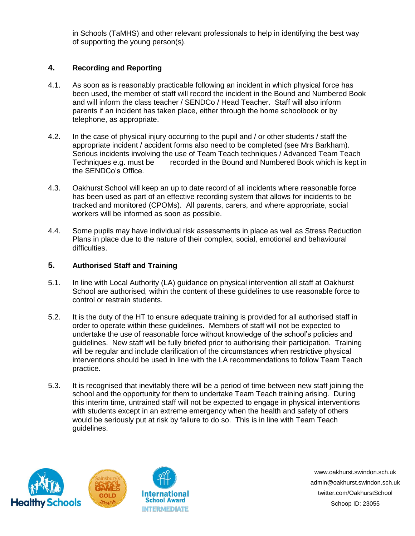in Schools (TaMHS) and other relevant professionals to help in identifying the best way of supporting the young person(s).

#### **4. Recording and Reporting**

- 4.1. As soon as is reasonably practicable following an incident in which physical force has been used, the member of staff will record the incident in the Bound and Numbered Book and will inform the class teacher / SENDCo / Head Teacher. Staff will also inform parents if an incident has taken place, either through the home schoolbook or by telephone, as appropriate.
- 4.2. In the case of physical injury occurring to the pupil and / or other students / staff the appropriate incident / accident forms also need to be completed (see Mrs Barkham). Serious incidents involving the use of Team Teach techniques / Advanced Team Teach Techniques e.g. must be recorded in the Bound and Numbered Book which is kept in the SENDCo's Office.
- 4.3. Oakhurst School will keep an up to date record of all incidents where reasonable force has been used as part of an effective recording system that allows for incidents to be tracked and monitored (CPOMs). All parents, carers, and where appropriate, social workers will be informed as soon as possible.
- 4.4. Some pupils may have individual risk assessments in place as well as Stress Reduction Plans in place due to the nature of their complex, social, emotional and behavioural difficulties.

### **5. Authorised Staff and Training**

- 5.1. In line with Local Authority (LA) guidance on physical intervention all staff at Oakhurst School are authorised, within the content of these guidelines to use reasonable force to control or restrain students.
- 5.2. It is the duty of the HT to ensure adequate training is provided for all authorised staff in order to operate within these guidelines. Members of staff will not be expected to undertake the use of reasonable force without knowledge of the school's policies and guidelines. New staff will be fully briefed prior to authorising their participation. Training will be regular and include clarification of the circumstances when restrictive physical interventions should be used in line with the LA recommendations to follow Team Teach practice.
- 5.3. It is recognised that inevitably there will be a period of time between new staff joining the school and the opportunity for them to undertake Team Teach training arising. During this interim time, untrained staff will not be expected to engage in physical interventions with students except in an extreme emergency when the health and safety of others would be seriously put at risk by failure to do so. This is in line with Team Teach guidelines.



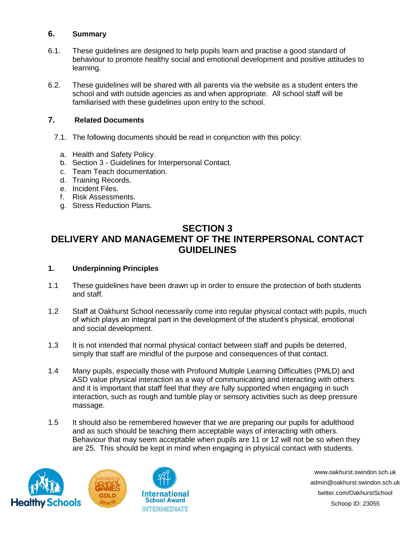## **6. Summary**

- 6.1. These guidelines are designed to help pupils learn and practise a good standard of behaviour to promote healthy social and emotional development and positive attitudes to learning.
- 6.2. These guidelines will be shared with all parents via the website as a student enters the school and with outside agencies as and when appropriate. All school staff will be familiarised with these guidelines upon entry to the school.

# **7. Related Documents**

- 7.1. The following documents should be read in conjunction with this policy:
	- a. Health and Safety Policy.
	- b. Section 3 Guidelines for Interpersonal Contact.
	- c. Team Teach documentation.
	- d. Training Records.
	- e. Incident Files.
	- f. Risk Assessments.
	- g. Stress Reduction Plans.

# **SECTION 3**

# **DELIVERY AND MANAGEMENT OF THE INTERPERSONAL CONTACT GUIDELINES**

#### **1. Underpinning Principles**

- 1.1 These guidelines have been drawn up in order to ensure the protection of both students and staff.
- 1.2 Staff at Oakhurst School necessarily come into regular physical contact with pupils, much of which plays an integral part in the development of the student's physical, emotional and social development.
- 1.3 It is not intended that normal physical contact between staff and pupils be deterred, simply that staff are mindful of the purpose and consequences of that contact.
- 1.4 Many pupils, especially those with Profound Multiple Learning Difficulties (PMLD) and ASD value physical interaction as a way of communicating and interacting with others and it is important that staff feel that they are fully supported when engaging in such interaction, such as rough and tumble play or sensory activities such as deep pressure massage.
- 1.5 It should also be remembered however that we are preparing our pupils for adulthood and as such should be teaching them acceptable ways of interacting with others. Behaviour that may seem acceptable when pupils are 11 or 12 will not be so when they are 25. This should be kept in mind when engaging in physical contact with students.



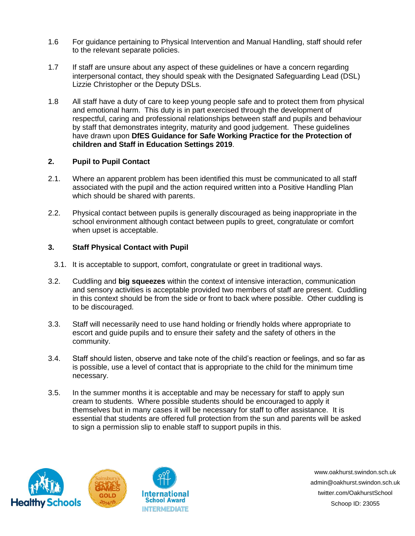- 1.6 For guidance pertaining to Physical Intervention and Manual Handling, staff should refer to the relevant separate policies.
- 1.7 If staff are unsure about any aspect of these guidelines or have a concern regarding interpersonal contact, they should speak with the Designated Safeguarding Lead (DSL) Lizzie Christopher or the Deputy DSLs.
- 1.8 All staff have a duty of care to keep young people safe and to protect them from physical and emotional harm. This duty is in part exercised through the development of respectful, caring and professional relationships between staff and pupils and behaviour by staff that demonstrates integrity, maturity and good judgement. These guidelines have drawn upon **DfES Guidance for Safe Working Practice for the Protection of children and Staff in Education Settings 2019**.

#### **2. Pupil to Pupil Contact**

- 2.1. Where an apparent problem has been identified this must be communicated to all staff associated with the pupil and the action required written into a Positive Handling Plan which should be shared with parents.
- 2.2. Physical contact between pupils is generally discouraged as being inappropriate in the school environment although contact between pupils to greet, congratulate or comfort when upset is acceptable.

### **3. Staff Physical Contact with Pupil**

- 3.1. It is acceptable to support, comfort, congratulate or greet in traditional ways.
- 3.2. Cuddling and **big squeezes** within the context of intensive interaction, communication and sensory activities is acceptable provided two members of staff are present. Cuddling in this context should be from the side or front to back where possible. Other cuddling is to be discouraged.
- 3.3. Staff will necessarily need to use hand holding or friendly holds where appropriate to escort and guide pupils and to ensure their safety and the safety of others in the community.
- 3.4. Staff should listen, observe and take note of the child's reaction or feelings, and so far as is possible, use a level of contact that is appropriate to the child for the minimum time necessary.
- 3.5. In the summer months it is acceptable and may be necessary for staff to apply sun cream to students. Where possible students should be encouraged to apply it themselves but in many cases it will be necessary for staff to offer assistance. It is essential that students are offered full protection from the sun and parents will be asked to sign a permission slip to enable staff to support pupils in this.